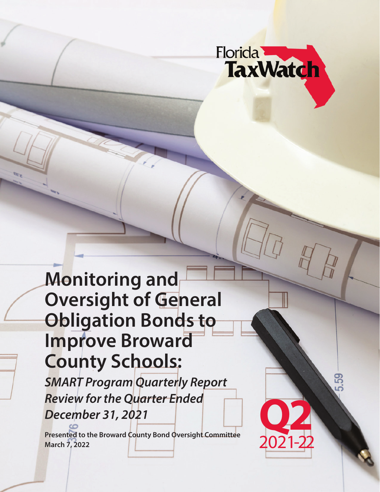

**Q2**

2021-22

**Monitoring and Oversight of General Obligation Bonds to Improve Broward County Schools:**

*SMART Program Quarterly Report Review for the Quarter Ended December 31, 2021*

**Presented to the Broward County Bond Oversight Committee March 7, 2022**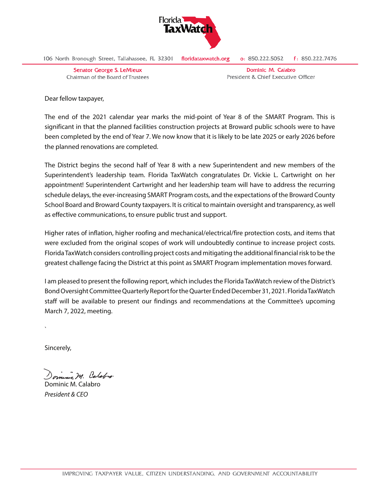

106 North Bronough Street, Tallahassee, FL 32301 floridataxwatch.org  $f: 850.222.7476$ o: 850.222.5052

**Senator George S. LeMieux** Chairman of the Board of Trustees

Dominic M. Calabro President & Chief Executive Officer

Dear fellow taxpayer,

The end of the 2021 calendar year marks the mid-point of Year 8 of the SMART Program. This is significant in that the planned facilities construction projects at Broward public schools were to have been completed by the end of Year 7. We now know that it is likely to be late 2025 or early 2026 before the planned renovations are completed.

The District begins the second half of Year 8 with a new Superintendent and new members of the Superintendent's leadership team. Florida TaxWatch congratulates Dr. Vickie L. Cartwright on her appointment! Superintendent Cartwright and her leadership team will have to address the recurring schedule delays, the ever-increasing SMART Program costs, and the expectations of the Broward County School Board and Broward County taxpayers. It is critical to maintain oversight and transparency, as well as effective communications, to ensure public trust and support.

Higher rates of inflation, higher roofing and mechanical/electrical/fire protection costs, and items that were excluded from the original scopes of work will undoubtedly continue to increase project costs. Florida TaxWatch considers controlling project costs and mitigating the additional financial risk to be the greatest challenge facing the District at this point as SMART Program implementation moves forward.

I am pleased to present the following report, which includes the Florida TaxWatch review of the District's Bond Oversight Committee Quarterly Report for the Quarter Ended December 31, 2021. Florida TaxWatch staff will be available to present our findings and recommendations at the Committee's upcoming March 7, 2022, meeting.

Sincerely,

`

in M. Calabro

Dominic M. Calabro *President & CEO*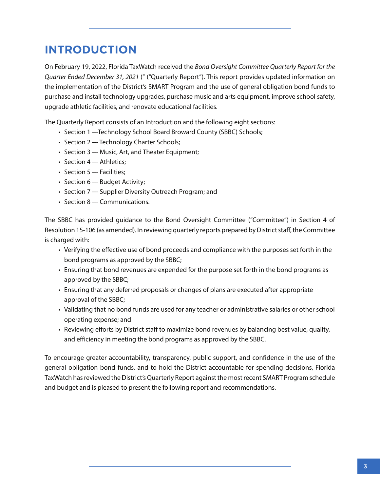## **INTRODUCTION**

On February 19, 2022, Florida TaxWatch received the *Bond Oversight Committee Quarterly Report for the Quarter Ended December 31, 2021* (" ("Quarterly Report"). This report provides updated information on the implementation of the District's SMART Program and the use of general obligation bond funds to purchase and install technology upgrades, purchase music and arts equipment, improve school safety, upgrade athletic facilities, and renovate educational facilities.

The Quarterly Report consists of an Introduction and the following eight sections:

- Section 1 ---Technology School Board Broward County (SBBC) Schools;
- Section 2 --- Technology Charter Schools;
- Section 3 --- Music, Art, and Theater Equipment;
- Section 4 --- Athletics;
- Section 5 --- Facilities:
- Section 6 --- Budget Activity;
- Section 7 --- Supplier Diversity Outreach Program; and
- Section 8 --- Communications.

The SBBC has provided guidance to the Bond Oversight Committee ("Committee") in Section 4 of Resolution 15-106 (as amended). In reviewing quarterly reports prepared by District staff, the Committee is charged with:

- Verifying the effective use of bond proceeds and compliance with the purposes set forth in the bond programs as approved by the SBBC;
- Ensuring that bond revenues are expended for the purpose set forth in the bond programs as approved by the SBBC;
- Ensuring that any deferred proposals or changes of plans are executed after appropriate approval of the SBBC;
- Validating that no bond funds are used for any teacher or administrative salaries or other school operating expense; and
- Reviewing efforts by District staff to maximize bond revenues by balancing best value, quality, and efficiency in meeting the bond programs as approved by the SBBC.

To encourage greater accountability, transparency, public support, and confidence in the use of the general obligation bond funds, and to hold the District accountable for spending decisions, Florida TaxWatch has reviewed the District's Quarterly Report against the most recent SMART Program schedule and budget and is pleased to present the following report and recommendations.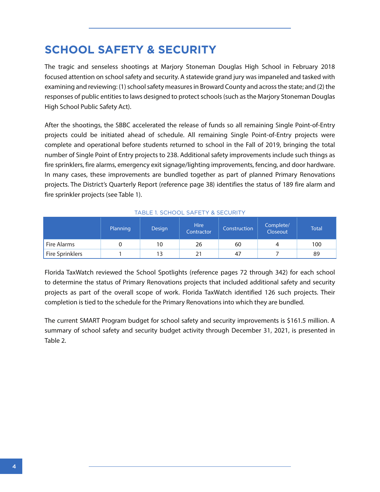## **SCHOOL SAFETY & SECURITY**

The tragic and senseless shootings at Marjory Stoneman Douglas High School in February 2018 focused attention on school safety and security. A statewide grand jury was impaneled and tasked with examining and reviewing: (1) school safety measures in Broward County and across the state; and (2) the responses of public entities to laws designed to protect schools (such as the Marjory Stoneman Douglas High School Public Safety Act).

After the shootings, the SBBC accelerated the release of funds so all remaining Single Point-of-Entry projects could be initiated ahead of schedule. All remaining Single Point-of-Entry projects were complete and operational before students returned to school in the Fall of 2019, bringing the total number of Single Point of Entry projects to 238. Additional safety improvements include such things as fire sprinklers, fire alarms, emergency exit signage/lighting improvements, fencing, and door hardware. In many cases, these improvements are bundled together as part of planned Primary Renovations projects. The District's Quarterly Report (reference page 38) identifies the status of 189 fire alarm and fire sprinkler projects (see Table 1).

|                 | Planning | <b>Design</b> | <b>Hire</b><br>Contractor | Construction | Complete/<br>Closeout | <b>Total</b> |
|-----------------|----------|---------------|---------------------------|--------------|-----------------------|--------------|
| Fire Alarms     |          | 10            | 26                        | 60           | 4                     | 100          |
| Fire Sprinklers |          |               |                           | 47           |                       | 89           |

#### TABLE 1. SCHOOL SAFETY & SECURITY

Florida TaxWatch reviewed the School Spotlights (reference pages 72 through 342) for each school to determine the status of Primary Renovations projects that included additional safety and security projects as part of the overall scope of work. Florida TaxWatch identified 126 such projects. Their completion is tied to the schedule for the Primary Renovations into which they are bundled.

The current SMART Program budget for school safety and security improvements is \$161.5 million. A summary of school safety and security budget activity through December 31, 2021, is presented in Table 2.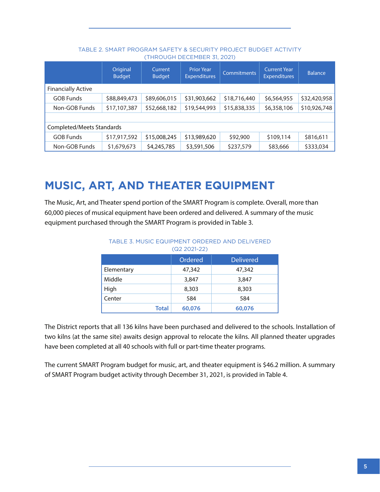|                           | Original<br><b>Budget</b> | Current<br><b>Budget</b> | <b>Prior Year</b><br><b>Expenditures</b> | <b>Commitments</b> | <b>Current Year</b><br><b>Expenditures</b> | <b>Balance</b> |
|---------------------------|---------------------------|--------------------------|------------------------------------------|--------------------|--------------------------------------------|----------------|
| <b>Financially Active</b> |                           |                          |                                          |                    |                                            |                |
| <b>GOB Funds</b>          | \$88,849,473              | \$89,606,015             | \$31,903,662                             | \$18,716,440       | \$6,564,955                                | \$32,420,958   |
| Non-GOB Funds             | \$17,107,387              | \$52,668,182             | \$19,544,993                             | \$15,838,335       | \$6,358,106                                | \$10,926,748   |
|                           |                           |                          |                                          |                    |                                            |                |
| Completed/Meets Standards |                           |                          |                                          |                    |                                            |                |
| <b>GOB Funds</b>          | \$17,917,592              | \$15,008,245             | \$13,989,620                             | \$92,900           | \$109,114                                  | \$816,611      |
| Non-GOB Funds             | \$1,679,673               | \$4,245,785              | \$3,591,506                              | \$237,579          | \$83,666                                   | \$333,034      |

### TABLE 2. SMART PROGRAM SAFETY & SECURITY PROJECT BUDGET ACTIVITY (THROUGH DECEMBER 31, 2021)

## **MUSIC, ART, AND THEATER EQUIPMENT**

The Music, Art, and Theater spend portion of the SMART Program is complete. Overall, more than 60,000 pieces of musical equipment have been ordered and delivered. A summary of the music equipment purchased through the SMART Program is provided in Table 3.

| $(Q2 2021-22)$ |         |                  |  |  |  |
|----------------|---------|------------------|--|--|--|
|                | Ordered | <b>Delivered</b> |  |  |  |
| Elementary     | 47,342  | 47,342           |  |  |  |
| Middle         | 3,847   | 3,847            |  |  |  |
| High           | 8,303   | 8,303            |  |  |  |
| Center         | 584     | 584              |  |  |  |
| <b>Total</b>   | 60,076  | 60,076           |  |  |  |

# TABLE 3. MUSIC EQUIPMENT ORDERED AND DELIVERED

The District reports that all 136 kilns have been purchased and delivered to the schools. Installation of two kilns (at the same site) awaits design approval to relocate the kilns. All planned theater upgrades have been completed at all 40 schools with full or part-time theater programs.

The current SMART Program budget for music, art, and theater equipment is \$46.2 million. A summary of SMART Program budget activity through December 31, 2021, is provided in Table 4.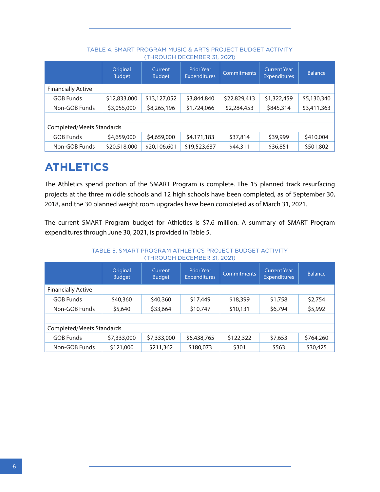|                           | Original<br><b>Budget</b> | Current<br><b>Budget</b> | <b>Prior Year</b><br><b>Expenditures</b> | <b>Commitments</b> | <b>Current Year</b><br><b>Expenditures</b> | <b>Balance</b> |
|---------------------------|---------------------------|--------------------------|------------------------------------------|--------------------|--------------------------------------------|----------------|
| <b>Financially Active</b> |                           |                          |                                          |                    |                                            |                |
| <b>GOB Funds</b>          | \$12,833,000              | \$13,127,052             | \$3,844,840                              | \$22,829,413       | \$1,322,459                                | \$5,130,340    |
| Non-GOB Funds             | \$3,055,000               | \$8,265,196              | \$1,724,066                              | \$2,284,453        | \$845,314                                  | \$3,411,363    |
|                           |                           |                          |                                          |                    |                                            |                |
| Completed/Meets Standards |                           |                          |                                          |                    |                                            |                |
| <b>GOB Funds</b>          | \$4,659,000               | \$4,659,000              | \$4,171,183                              | \$37,814           | \$39,999                                   | \$410,004      |
| Non-GOB Funds             | \$20,518,000              | \$20,106,601             | \$19,523,637                             | \$44,311           | \$36,851                                   | \$501,802      |

### TABLE 4. SMART PROGRAM MUSIC & ARTS PROJECT BUDGET ACTIVITY (THROUGH DECEMBER 31, 2021)

## **ATHLETICS**

The Athletics spend portion of the SMART Program is complete. The 15 planned track resurfacing projects at the three middle schools and 12 high schools have been completed, as of September 30, 2018, and the 30 planned weight room upgrades have been completed as of March 31, 2021.

The current SMART Program budget for Athletics is \$7.6 million. A summary of SMART Program expenditures through June 30, 2021, is provided in Table 5.

> TABLE 5. SMART PROGRAM ATHLETICS PROJECT BUDGET ACTIVITY (THROUGH DECEMBER 31, 2021)

|                           | Original<br><b>Budget</b> | Current<br><b>Budget</b> | <b>Prior Year</b><br><b>Expenditures</b> | <b>Commitments</b> | <b>Current Year</b><br><b>Expenditures</b> | <b>Balance</b> |
|---------------------------|---------------------------|--------------------------|------------------------------------------|--------------------|--------------------------------------------|----------------|
| <b>Financially Active</b> |                           |                          |                                          |                    |                                            |                |
| <b>GOB Funds</b>          | \$40,360                  | \$40,360                 | \$17,449                                 | \$18,399           | \$1,758                                    | \$2,754        |
| Non-GOB Funds             | \$5,640                   | \$33,664                 | \$10,747                                 | \$10,131           | \$6,794                                    | \$5,992        |
|                           |                           |                          |                                          |                    |                                            |                |
| Completed/Meets Standards |                           |                          |                                          |                    |                                            |                |
| <b>GOB Funds</b>          | \$7,333,000               | \$7,333,000              | \$6,438,765                              | \$122,322          | \$7,653                                    | \$764,260      |
| Non-GOB Funds             | \$121,000                 | \$211,362                | \$180,073                                | \$301              | \$563                                      | \$30,425       |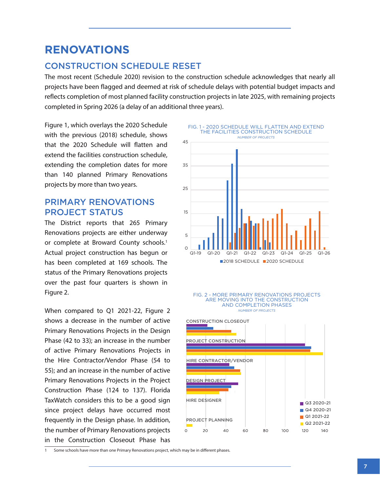## **RENOVATIONS**

## CONSTRUCTION SCHEDULE RESET

The most recent (Schedule 2020) revision to the construction schedule acknowledges that nearly all projects have been flagged and deemed at risk of schedule delays with potential budget impacts and reflects completion of most planned facility construction projects in late 2025, with remaining projects completed in Spring 2026 (a delay of an additional three years).

Figure 1, which overlays the 2020 Schedule with the previous (2018) schedule, shows that the 2020 Schedule will flatten and extend the facilities construction schedule, extending the completion dates for more than 140 planned Primary Renovations projects by more than two years.

## PRIMARY RENOVATIONS PROJECT STATUS

The District reports that 265 Primary Renovations projects are either underway or complete at Broward County schools.<sup>1</sup> Actual project construction has begun or has been completed at 169 schools. The status of the Primary Renovations projects over the past four quarters is shown in Figure 2.

When compared to Q1 2021-22, Figure 2 shows a decrease in the number of active Primary Renovations Projects in the Design Phase (42 to 33); an increase in the number of active Primary Renovations Projects in the Hire Contractor/Vendor Phase (54 to 55); and an increase in the number of active Primary Renovations Projects in the Project Construction Phase (124 to 137). Florida TaxWatch considers this to be a good sign since project delays have occurred most frequently in the Design phase. In addition, the number of Primary Renovations projects in the Construction Closeout Phase has





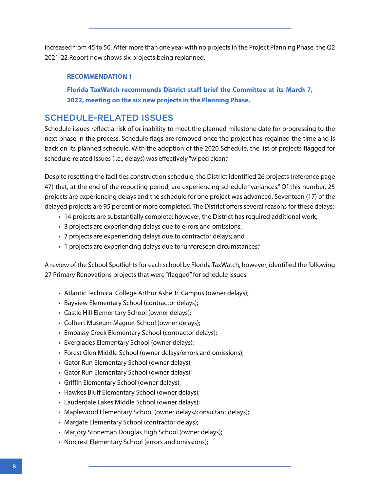increased from 45 to 50. After more than one year with no projects in the Project Planning Phase, the Q2 2021-22 Report now shows six projects being replanned.

### **RECOMMENDATION 1**

**Florida TaxWatch recommends District staff brief the Committee at its March 7, 2022, meeting on the six new projects in the Planning Phase.**

## SCHEDULE-RELATED ISSUES

Schedule issues reflect a risk of or inability to meet the planned milestone date for progressing to the next phase in the process. Schedule flags are removed once the project has regained the time and is back on its planned schedule. With the adoption of the 2020 Schedule, the list of projects flagged for schedule-related issues (i.e., delays) was effectively "wiped clean."

Despite resetting the facilities construction schedule, the District identified 26 projects (reference page 47) that, at the end of the reporting period, are experiencing schedule "variances." Of this number, 25 projects are experiencing delays and the schedule for one project was advanced. Seventeen (17) of the delayed projects are 95 percent or more completed. The District offers several reasons for these delays:

- 14 projects are substantially complete; however, the District has required additional work;
- 3 projects are experiencing delays due to errors and omissions;
- 7 projects are experiencing delays due to contractor delays; and
- 1 projects are experiencing delays due to "unforeseen circumstances."

A review of the School Spotlights for each school by Florida TaxWatch, however, identified the following 27 Primary Renovations projects that were "flagged" for schedule issues:

- Atlantic Technical College Arthur Ashe Jr. Campus (owner delays);
- Bayview Elementary School (contractor delays);
- Castle Hill Elementary School (owner delays);
- Colbert Museum Magnet School (owner delays);
- Embassy Creek Elementary School (contractor delays);
- Everglades Elementary School (owner delays);
- Forest Glen Middle School (owner delays/errors and omissions);
- Gator Run Elementary School (owner delays);
- Gator Run Elementary School (owner delays);
- Griffin Elementary School (owner delays);
- Hawkes Bluff Elementary School (owner delays);
- Lauderdale Lakes Middle School (owner delays);
- Maplewood Elementary School (owner delays/consultant delays);
- Margate Elementary School (contractor delays);
- Marjory Stoneman Douglas High School (owner delays);
- Norcrest Elementary School (errors and omissions);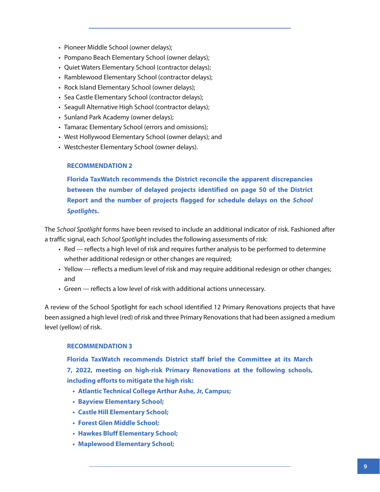- Pioneer Middle School (owner delays);
- Pompano Beach Elementary School (owner delays);
- Quiet Waters Elementary School (contractor delays);
- Ramblewood Elementary School (contractor delays);
- Rock Island Elementary School (owner delays);
- Sea Castle Elementary School (contractor delays);
- Seagull Alternative High School (contractor delays);
- Sunland Park Academy (owner delays);
- Tamarac Elementary School (errors and omissions);
- West Hollywood Elementary School (owner delays); and
- Westchester Elementary School (owner delays).

### **RECOMMENDATION 2**

**Florida TaxWatch recommends the District reconcile the apparent discrepancies between the number of delayed projects identified on page 50 of the District Report and the number of projects flagged for schedule delays on the** *School Spotlight***s.**

The *School Spotlight* forms have been revised to include an additional indicator of risk. Fashioned after a traffic signal, each *School Spotlight* includes the following assessments of risk:

- Red --- reflects a high level of risk and requires further analysis to be performed to determine whether additional redesign or other changes are required;
- Yellow --- reflects a medium level of risk and may require additional redesign or other changes; and
- Green --- reflects a low level of risk with additional actions unnecessary.

A review of the School Spotlight for each school identified 12 Primary Renovations projects that have been assigned a high level (red) of risk and three Primary Renovations that had been assigned a medium level (yellow) of risk.

### **RECOMMENDATION 3**

**Florida TaxWatch recommends District staff brief the Committee at its March 7, 2022, meeting on high-risk Primary Renovations at the following schools, including efforts to mitigate the high risk:**

- **• Atlantic Technical College Arthur Ashe, Jr, Campus;**
- **• Bayview Elementary School;**
- **• Castle Hill Elementary School;**
- **• Forest Glen Middle School;**
- **• Hawkes Bluff Elementary School;**
- **• Maplewood Elementary School;**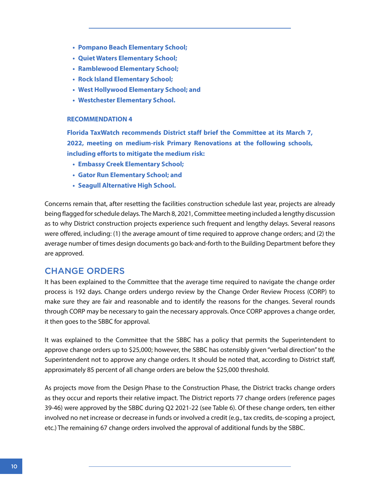- **• Pompano Beach Elementary School;**
- **• Quiet Waters Elementary School;**
- **• Ramblewood Elementary School;**
- **• Rock Island Elementary School;**
- **• West Hollywood Elementary School; and**
- **• Westchester Elementary School.**

### **RECOMMENDATION 4**

**Florida TaxWatch recommends District staff brief the Committee at its March 7, 2022, meeting on medium-risk Primary Renovations at the following schools, including efforts to mitigate the medium risk:**

- **• Embassy Creek Elementary School;**
- **• Gator Run Elementary School; and**
- **• Seagull Alternative High School.**

Concerns remain that, after resetting the facilities construction schedule last year, projects are already being flagged for schedule delays. The March 8, 2021, Committee meeting included a lengthy discussion as to why District construction projects experience such frequent and lengthy delays. Several reasons were offered, including: (1) the average amount of time required to approve change orders; and (2) the average number of times design documents go back-and-forth to the Building Department before they are approved.

## CHANGE ORDERS

It has been explained to the Committee that the average time required to navigate the change order process is 192 days. Change orders undergo review by the Change Order Review Process (CORP) to make sure they are fair and reasonable and to identify the reasons for the changes. Several rounds through CORP may be necessary to gain the necessary approvals. Once CORP approves a change order, it then goes to the SBBC for approval.

It was explained to the Committee that the SBBC has a policy that permits the Superintendent to approve change orders up to \$25,000; however, the SBBC has ostensibly given "verbal direction" to the Superintendent not to approve any change orders. It should be noted that, according to District staff, approximately 85 percent of all change orders are below the \$25,000 threshold.

As projects move from the Design Phase to the Construction Phase, the District tracks change orders as they occur and reports their relative impact. The District reports 77 change orders (reference pages 39-46) were approved by the SBBC during Q2 2021-22 (see Table 6). Of these change orders, ten either involved no net increase or decrease in funds or involved a credit (e.g., tax credits, de-scoping a project, etc.) The remaining 67 change orders involved the approval of additional funds by the SBBC.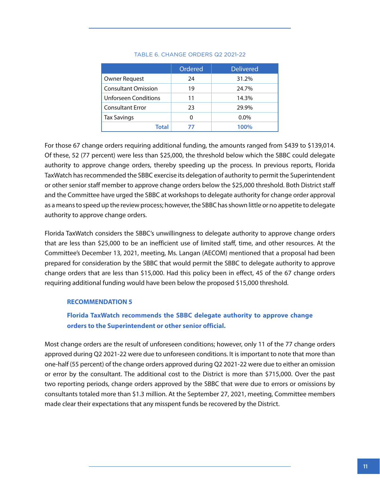|                             | Ordered | <b>Delivered</b> |
|-----------------------------|---------|------------------|
| Owner Request               | 24      | 31.2%            |
| <b>Consultant Omission</b>  | 19      | 24.7%            |
| <b>Unforseen Conditions</b> | 11      | 14.3%            |
| <b>Consultant Error</b>     | 23      | 29.9%            |
| <b>Tax Savings</b>          | U       | $0.0\%$          |
| Total                       | 77      | 100%             |

#### TABLE 6. CHANGE ORDERS Q2 2021-22

For those 67 change orders requiring additional funding, the amounts ranged from \$439 to \$139,014. Of these, 52 (77 percent) were less than \$25,000, the threshold below which the SBBC could delegate authority to approve change orders, thereby speeding up the process. In previous reports, Florida TaxWatch has recommended the SBBC exercise its delegation of authority to permit the Superintendent or other senior staff member to approve change orders below the \$25,000 threshold. Both District staff and the Committee have urged the SBBC at workshops to delegate authority for change order approval as a means to speed up the review process; however, the SBBC has shown little or no appetite to delegate authority to approve change orders.

Florida TaxWatch considers the SBBC's unwillingness to delegate authority to approve change orders that are less than \$25,000 to be an inefficient use of limited staff, time, and other resources. At the Committee's December 13, 2021, meeting, Ms. Langan (AECOM) mentioned that a proposal had been prepared for consideration by the SBBC that would permit the SBBC to delegate authority to approve change orders that are less than \$15,000. Had this policy been in effect, 45 of the 67 change orders requiring additional funding would have been below the proposed \$15,000 threshold.

### **RECOMMENDATION 5**

## **Florida TaxWatch recommends the SBBC delegate authority to approve change orders to the Superintendent or other senior official.**

Most change orders are the result of unforeseen conditions; however, only 11 of the 77 change orders approved during Q2 2021-22 were due to unforeseen conditions. It is important to note that more than one-half (55 percent) of the change orders approved during Q2 2021-22 were due to either an omission or error by the consultant. The additional cost to the District is more than \$715,000. Over the past two reporting periods, change orders approved by the SBBC that were due to errors or omissions by consultants totaled more than \$1.3 million. At the September 27, 2021, meeting, Committee members made clear their expectations that any misspent funds be recovered by the District.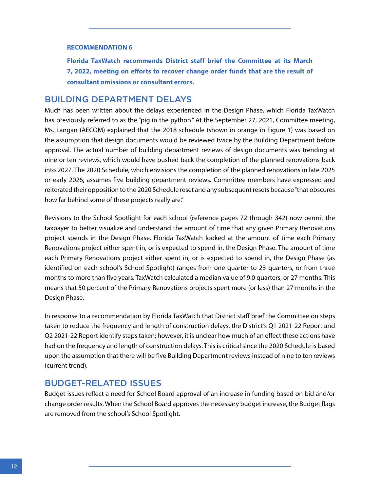#### **RECOMMENDATION 6**

**Florida TaxWatch recommends District staff brief the Committee at its March 7, 2022, meeting on efforts to recover change order funds that are the result of consultant omissions or consultant errors.**

### BUILDING DEPARTMENT DELAYS

Much has been written about the delays experienced in the Design Phase, which Florida TaxWatch has previously referred to as the "pig in the python." At the September 27, 2021, Committee meeting, Ms. Langan (AECOM) explained that the 2018 schedule (shown in orange in Figure 1) was based on the assumption that design documents would be reviewed twice by the Building Department before approval. The actual number of building department reviews of design documents was trending at nine or ten reviews, which would have pushed back the completion of the planned renovations back into 2027. The 2020 Schedule, which envisions the completion of the planned renovations in late 2025 or early 2026, assumes five building department reviews. Committee members have expressed and reiterated their opposition to the 2020 Schedule reset and any subsequent resets because "that obscures how far behind some of these projects really are."

Revisions to the School Spotlight for each school (reference pages 72 through 342) now permit the taxpayer to better visualize and understand the amount of time that any given Primary Renovations project spends in the Design Phase. Florida TaxWatch looked at the amount of time each Primary Renovations project either spent in, or is expected to spend in, the Design Phase. The amount of time each Primary Renovations project either spent in, or is expected to spend in, the Design Phase (as identified on each school's School Spotlight) ranges from one quarter to 23 quarters, or from three months to more than five years. TaxWatch calculated a median value of 9.0 quarters, or 27 months. This means that 50 percent of the Primary Renovations projects spent more (or less) than 27 months in the Design Phase.

In response to a recommendation by Florida TaxWatch that District staff brief the Committee on steps taken to reduce the frequency and length of construction delays, the District's Q1 2021-22 Report and Q2 2021-22 Report identify steps taken; however, it is unclear how much of an effect these actions have had on the frequency and length of construction delays. This is critical since the 2020 Schedule is based upon the assumption that there will be five Building Department reviews instead of nine to ten reviews (current trend).

## BUDGET-RELATED ISSUES

Budget issues reflect a need for School Board approval of an increase in funding based on bid and/or change order results. When the School Board approves the necessary budget increase, the Budget flags are removed from the school's School Spotlight.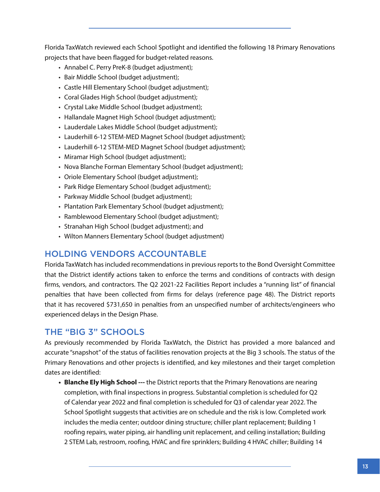Florida TaxWatch reviewed each School Spotlight and identified the following 18 Primary Renovations projects that have been flagged for budget-related reasons.

- Annabel C. Perry PreK-8 (budget adjustment);
- Bair Middle School (budget adjustment);
- Castle Hill Elementary School (budget adjustment);
- Coral Glades High School (budget adjustment);
- Crystal Lake Middle School (budget adjustment);
- Hallandale Magnet High School (budget adjustment);
- Lauderdale Lakes Middle School (budget adjustment);
- Lauderhill 6-12 STEM-MED Magnet School (budget adjustment);
- Lauderhill 6-12 STEM-MED Magnet School (budget adjustment);
- Miramar High School (budget adjustment);
- Nova Blanche Forman Elementary School (budget adjustment);
- Oriole Elementary School (budget adjustment);
- Park Ridge Elementary School (budget adjustment);
- Parkway Middle School (budget adjustment);
- Plantation Park Elementary School (budget adjustment);
- Ramblewood Elementary School (budget adjustment);
- Stranahan High School (budget adjustment); and
- Wilton Manners Elementary School (budget adjustment)

## HOLDING VENDORS ACCOUNTABLE

Florida TaxWatch has included recommendations in previous reports to the Bond Oversight Committee that the District identify actions taken to enforce the terms and conditions of contracts with design firms, vendors, and contractors. The Q2 2021-22 Facilities Report includes a "running list" of financial penalties that have been collected from firms for delays (reference page 48). The District reports that it has recovered \$731,650 in penalties from an unspecified number of architects/engineers who experienced delays in the Design Phase.

## THE "BIG 3" SCHOOLS

As previously recommended by Florida TaxWatch, the District has provided a more balanced and accurate "snapshot" of the status of facilities renovation projects at the Big 3 schools. The status of the Primary Renovations and other projects is identified, and key milestones and their target completion dates are identified:

**• Blanche Ely High School ---** the District reports that the Primary Renovations are nearing completion, with final inspections in progress. Substantial completion is scheduled for Q2 of Calendar year 2022 and final completion is scheduled for Q3 of calendar year 2022. The School Spotlight suggests that activities are on schedule and the risk is low. Completed work includes the media center; outdoor dining structure; chiller plant replacement; Building 1 roofing repairs, water piping, air handling unit replacement, and ceiling installation; Building 2 STEM Lab, restroom, roofing, HVAC and fire sprinklers; Building 4 HVAC chiller; Building 14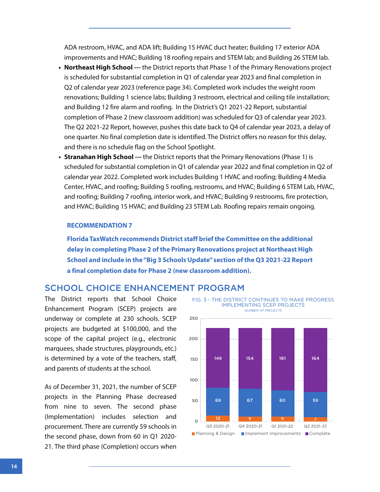ADA restroom, HVAC, and ADA lift; Building 15 HVAC duct heater; Building 17 exterior ADA improvements and HVAC; Building 18 roofing repairs and STEM lab; and Building 26 STEM lab.

- **• Northeast High School ---** the District reports that Phase 1 of the Primary Renovations project is scheduled for substantial completion in Q1 of calendar year 2023 and final completion in Q2 of calendar year 2023 (reference page 34). Completed work includes the weight room renovations; Building 1 science labs; Building 3 restroom, electrical and ceiling tile installation; and Building 12 fire alarm and roofing. In the District's Q1 2021-22 Report, substantial completion of Phase 2 (new classroom addition) was scheduled for Q3 of calendar year 2023. The Q2 2021-22 Report, however, pushes this date back to Q4 of calendar year 2023, a delay of one quarter. No final completion date is identified. The District offers no reason for this delay, and there is no schedule flag on the School Spotlight.
- **• Stranahan High School ---** the District reports that the Primary Renovations (Phase 1) is scheduled for substantial completion in Q1 of calendar year 2022 and final completion in Q2 of calendar year 2022. Completed work includes Building 1 HVAC and roofing; Building 4 Media Center, HVAC, and roofing; Building 5 roofing, restrooms, and HVAC; Building 6 STEM Lab, HVAC, and roofing; Building 7 roofing, interior work, and HVAC; Building 9 restrooms, fire protection, and HVAC; Building 15 HVAC; and Building 23 STEM Lab. Roofing repairs remain ongoing.

### **RECOMMENDATION 7**

**Florida TaxWatch recommends District staff brief the Committee on the additional delay in completing Phase 2 of the Primary Renovations project at Northeast High School and include in the "Big 3 Schools Update" section of the Q3 2021-22 Report a final completion date for Phase 2 (new classroom addition).**

## SCHOOL CHOICE ENHANCEMENT PROGRAM

The District reports that School Choice Enhancement Program (SCEP) projects are underway or complete at 230 schools. SCEP projects are budgeted at \$100,000, and the scope of the capital project (e.g., electronic marquees, shade structures, playgrounds, etc.) is determined by a vote of the teachers, staff, and parents of students at the school.

As of December 31, 2021, the number of SCEP projects in the Planning Phase decreased from nine to seven. The second phase (Implementation) includes selection and procurement. There are currently 59 schools in the second phase, down from 60 in Q1 2020- 21. The third phase (Completion) occurs when

FIG. 3 - THE DISTRICT CONTINUES TO MAKE PROGRESS IMPLEMENTING SCEP PROJECTS *NUMBER OF PROJECTS*

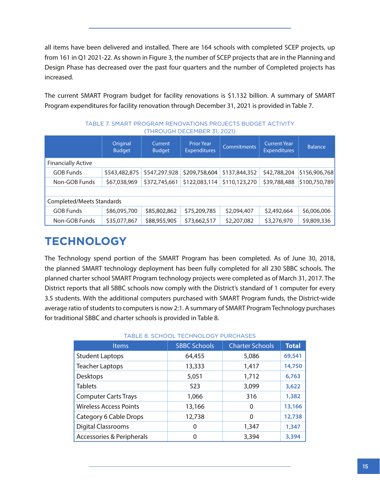all items have been delivered and installed. There are 164 schools with completed SCEP projects, up from 161 in Q1 2021-22. As shown in Figure 3, the number of SCEP projects that are in the Planning and Design Phase has decreased over the past four quarters and the number of Completed projects has increased.

The current SMART Program budget for facility renovations is \$1.132 billion. A summary of SMART Program expenditures for facility renovation through December 31, 2021 is provided in Table 7.

|                           | Original<br><b>Budget</b> | Current<br><b>Budget</b> | <b>Prior Year</b><br><b>Expenditures</b> | <b>Commitments</b> | <b>Current Year</b><br><b>Expenditures</b> | <b>Balance</b> |
|---------------------------|---------------------------|--------------------------|------------------------------------------|--------------------|--------------------------------------------|----------------|
| <b>Financially Active</b> |                           |                          |                                          |                    |                                            |                |
| <b>GOB Funds</b>          | \$543,482,875             | \$547,297,928            | \$209,758,604                            | \$137,844,352      | \$42,788,204                               | \$156,906,768  |
| Non-GOB Funds             | \$67,038,969              | \$372,745,661            | \$122,083,114                            | \$110,123,270      | \$39,788,488                               | \$100,750,789  |
|                           |                           |                          |                                          |                    |                                            |                |
| Completed/Meets Standards |                           |                          |                                          |                    |                                            |                |
| <b>GOB Funds</b>          | \$86,095,700              | \$85,802,862             | \$75,209,785                             | \$2,094,407        | \$2,492,664                                | \$6,006,006    |
| Non-GOB Funds             | \$35,077,867              | \$88,955,905             | \$73,662,517                             | \$2,207,082        | \$3,276,970                                | \$9,809,336    |

TABLE 7. SMART PROGRAM RENOVATIONS PROJECTS BUDGET ACTIVITY (THROUGH DECEMBER 31, 2021)

## **TECHNOLOGY**

The Technology spend portion of the SMART Program has been completed. As of June 30, 2018, the planned SMART technology deployment has been fully completed for all 230 SBBC schools. The planned charter school SMART Program technology projects were completed as of March 31, 2017. The District reports that all SBBC schools now comply with the District's standard of 1 computer for every 3.5 students. With the additional computers purchased with SMART Program funds, the District-wide average ratio of students to computers is now 2:1. A summary of SMART Program Technology purchases for traditional SBBC and charter schools is provided in Table 8.

| TABLE 8. SCHOOL TECHNOLOGY PURCHASES |                     |                        |              |  |  |  |
|--------------------------------------|---------------------|------------------------|--------------|--|--|--|
| <b>Items</b>                         | <b>SBBC Schools</b> | <b>Charter Schools</b> | <b>Total</b> |  |  |  |
| <b>Student Laptops</b>               | 64,455              | 5,086                  | 69,541       |  |  |  |
| <b>Teacher Laptops</b>               | 13,333              | 1,417                  | 14,750       |  |  |  |
| Desktops                             | 5,051               | 1,712                  | 6,763        |  |  |  |
| <b>Tablets</b>                       | 523                 | 3,099                  | 3,622        |  |  |  |
| <b>Computer Carts Trays</b>          | 1,066               | 316                    | 1,382        |  |  |  |
| <b>Wireless Access Points</b>        | 13,166              | 0                      | 13,166       |  |  |  |
| Category 6 Cable Drops               | 12,738              | 0                      | 12,738       |  |  |  |
| Digital Classrooms                   | 0                   | 1,347                  | 1,347        |  |  |  |
| <b>Accessories &amp; Peripherals</b> | 0                   | 3,394                  | 3,394        |  |  |  |

#### TABLE 8. SCHOOL TECHNOLOGY PURCHASES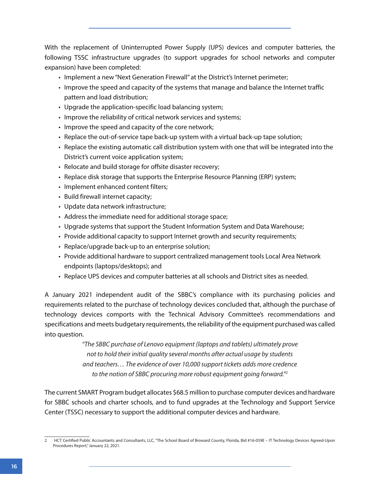With the replacement of Uninterrupted Power Supply (UPS) devices and computer batteries, the following TSSC infrastructure upgrades (to support upgrades for school networks and computer expansion) have been completed:

- Implement a new "Next Generation Firewall" at the District's Internet perimeter;
- Improve the speed and capacity of the systems that manage and balance the Internet traffic pattern and load distribution;
- Upgrade the application-specific load balancing system;
- Improve the reliability of critical network services and systems;
- Improve the speed and capacity of the core network;
- Replace the out-of-service tape back-up system with a virtual back-up tape solution;
- Replace the existing automatic call distribution system with one that will be integrated into the District's current voice application system;
- Relocate and build storage for offsite disaster recovery;
- Replace disk storage that supports the Enterprise Resource Planning (ERP) system;
- Implement enhanced content filters;
- Build firewall internet capacity;
- Update data network infrastructure;
- Address the immediate need for additional storage space;
- Upgrade systems that support the Student Information System and Data Warehouse;
- Provide additional capacity to support Internet growth and security requirements;
- Replace/upgrade back-up to an enterprise solution;
- Provide additional hardware to support centralized management tools Local Area Network endpoints (laptops/desktops); and
- Replace UPS devices and computer batteries at all schools and District sites as needed.

A January 2021 independent audit of the SBBC's compliance with its purchasing policies and requirements related to the purchase of technology devices concluded that, although the purchase of technology devices comports with the Technical Advisory Committee's recommendations and specifications and meets budgetary requirements, the reliability of the equipment purchased was called into question.

> *"The SBBC purchase of Lenovo equipment (laptops and tablets) ultimately prove not to hold their initial quality several months after actual usage by students and teachers… The evidence of over 10,000 support tickets adds more credence to the notion of SBBC procuring more robust equipment going forward."2*

The current SMART Program budget allocates \$68.5 million to purchase computer devices and hardware for SBBC schools and charter schools, and to fund upgrades at the Technology and Support Service Center (TSSC) necessary to support the additional computer devices and hardware.

<sup>2</sup> HCT Certified Public Accountants and Consultants, LLC, "The School Board of Broward County, Florida, Bid #16-059E – IT Technology Devices Agreed-Upon Procedures Report," January 22, 2021.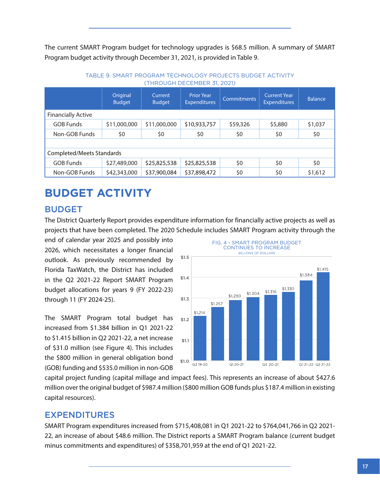The current SMART Program budget for technology upgrades is \$68.5 million. A summary of SMART Program budget activity through December 31, 2021, is provided in Table 9.

|                           | Original<br><b>Budget</b> | Current<br><b>Budget</b> | <b>Prior Year</b><br><b>Expenditures</b> | <b>Commitments</b> | <b>Current Year</b><br><b>Expenditures</b> | <b>Balance</b> |
|---------------------------|---------------------------|--------------------------|------------------------------------------|--------------------|--------------------------------------------|----------------|
| <b>Financially Active</b> |                           |                          |                                          |                    |                                            |                |
| <b>GOB Funds</b>          | \$11,000,000              | \$11,000,000             | \$10,933,757                             | \$59,326           | \$5,880                                    | \$1,037        |
| Non-GOB Funds             | \$0                       | \$0                      | \$0                                      | \$0                | \$0                                        | \$0            |
|                           |                           |                          |                                          |                    |                                            |                |
| Completed/Meets Standards |                           |                          |                                          |                    |                                            |                |
| <b>GOB Funds</b>          | \$27,489,000              | \$25,825,538             | \$25,825,538                             | \$0                | \$0                                        | \$0            |
| Non-GOB Funds             | \$42,343,000              | \$37,900,084             | \$37,898,472                             | \$0                | \$0                                        | \$1,612        |

### TABLE 9. SMART PROGRAM TECHNOLOGY PROJECTS BUDGET ACTIVITY (THROUGH DECEMBER 31, 2021)

## **BUDGET ACTIVITY**

## BUDGET

The District Quarterly Report provides expenditure information for financially active projects as well as projects that have been completed. The 2020 Schedule includes SMART Program activity through the

end of calendar year 2025 and possibly into 2026, which necessitates a longer financial outlook. As previously recommended by Florida TaxWatch, the District has included in the Q2 2021-22 Report SMART Program budget allocations for years 9 (FY 2022-23) through 11 (FY 2024-25).

The SMART Program total budget has increased from \$1.384 billion in Q1 2021-22 to \$1.415 billion in Q2 2021-22, a net increase of \$31.0 million (see Figure 4). This includes the \$800 million in general obligation bond (GOB) funding and \$535.0 million in non-GOB



capital project funding (capital millage and impact fees). This represents an increase of about \$427.6 million over the original budget of \$987.4 million (\$800 million GOB funds plus \$187.4 million in existing capital resources).

## EXPENDITURES

SMART Program expenditures increased from \$715,408,081 in Q1 2021-22 to \$764,041,766 in Q2 2021- 22, an increase of about \$48.6 million. The District reports a SMART Program balance (current budget minus commitments and expenditures) of \$358,701,959 at the end of Q1 2021-22.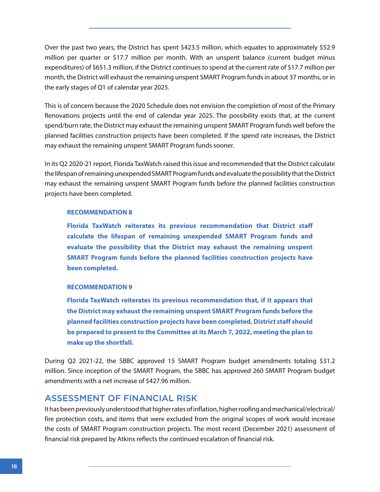Over the past two years, the District has spent \$423.5 million, which equates to approximately \$52.9 million per quarter or \$17.7 million per month. With an unspent balance (current budget minus expenditures) of \$651.3 million, if the District continues to spend at the current rate of \$17.7 million per month, the District will exhaust the remaining unspent SMART Program funds in about 37 months, or in the early stages of Q1 of calendar year 2025.

This is of concern because the 2020 Schedule does not envision the completion of most of the Primary Renovations projects until the end of calendar year 2025. The possibility exists that, at the current spend/burn rate, the District may exhaust the remaining unspent SMART Program funds well before the planned facilities construction projects have been completed. If the spend rate increases, the District may exhaust the remaining unspent SMART Program funds sooner.

In its Q2 2020-21 report, Florida TaxWatch raised this issue and recommended that the District calculate the lifespan of remaining unexpended SMART Program funds and evaluate the possibility that the District may exhaust the remaining unspent SMART Program funds before the planned facilities construction projects have been completed.

### **RECOMMENDATION 8**

**Florida TaxWatch reiterates its previous recommendation that District staff calculate the lifespan of remaining unexpended SMART Program funds and evaluate the possibility that the District may exhaust the remaining unspent SMART Program funds before the planned facilities construction projects have been completed.** 

### **RECOMMENDATION 9**

**Florida TaxWatch reiterates its previous recommendation that, if it appears that the District may exhaust the remaining unspent SMART Program funds before the planned facilities construction projects have been completed, District staff should be prepared to present to the Committee at its March 7, 2022, meeting the plan to make up the shortfall.**

During Q2 2021-22, the SBBC approved 15 SMART Program budget amendments totaling \$31.2 million. Since inception of the SMART Program, the SBBC has approved 260 SMART Program budget amendments with a net increase of \$427.96 million.

## ASSESSMENT OF FINANCIAL RISK

It has been previously understood that higher rates of inflation, higher roofing and mechanical/electrical/ fire protection costs, and items that were excluded from the original scopes of work would increase the costs of SMART Program construction projects. The most recent (December 2021) assessment of financial risk prepared by Atkins reflects the continued escalation of financial risk.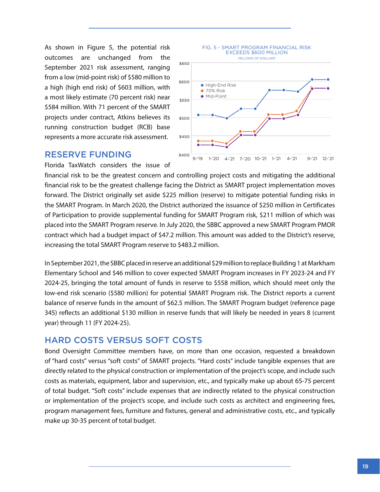As shown in Figure 5, the potential risk outcomes are unchanged from the September 2021 risk assessment, ranging from a low (mid-point risk) of \$580 million to a high (high end risk) of \$603 million, with a most likely estimate (70 percent risk) near \$584 million. With 71 percent of the SMART projects under contract, Atkins believes its running construction budget (RCB) base represents a more accurate risk assessment.



### RESERVE FUNDING

Florida TaxWatch considers the issue of

financial risk to be the greatest concern and controlling project costs and mitigating the additional financial risk to be the greatest challenge facing the District as SMART project implementation moves forward. The District originally set aside \$225 million (reserve) to mitigate potential funding risks in the SMART Program. In March 2020, the District authorized the issuance of \$250 million in Certificates of Participation to provide supplemental funding for SMART Program risk, \$211 million of which was placed into the SMART Program reserve. In July 2020, the SBBC approved a new SMART Program PMOR contract which had a budget impact of \$47.2 million. This amount was added to the District's reserve, increasing the total SMART Program reserve to \$483.2 million.

In September 2021, the SBBC placed in reserve an additional \$29 million to replace Building 1 at Markham Elementary School and \$46 million to cover expected SMART Program increases in FY 2023-24 and FY 2024-25, bringing the total amount of funds in reserve to \$558 million, which should meet only the low-end risk scenario (\$580 million) for potential SMART Program risk. The District reports a current balance of reserve funds in the amount of \$62.5 million. The SMART Program budget (reference page 345) reflects an additional \$130 million in reserve funds that will likely be needed in years 8 (current year) through 11 (FY 2024-25).

## HARD COSTS VERSUS SOFT COSTS

Bond Oversight Committee members have, on more than one occasion, requested a breakdown of "hard costs" versus "soft costs" of SMART projects. "Hard costs" include tangible expenses that are directly related to the physical construction or implementation of the project's scope, and include such costs as materials, equipment, labor and supervision, etc., and typically make up about 65-75 percent of total budget. "Soft costs" include expenses that are indirectly related to the physical construction or implementation of the project's scope, and include such costs as architect and engineering fees, program management fees, furniture and fixtures, general and administrative costs, etc., and typically make up 30-35 percent of total budget.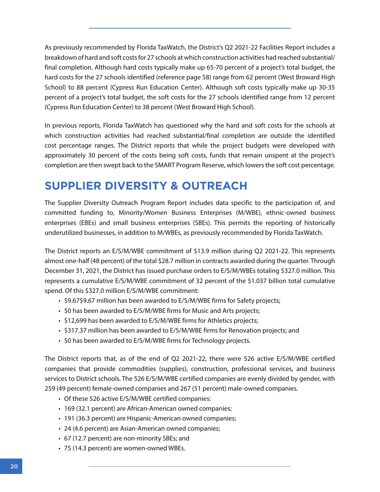As previously recommended by Florida TaxWatch, the District's Q2 2021-22 Facilities Report includes a breakdown of hard and soft costs for 27 schools at which construction activities had reached substantial/ final completion. Although hard costs typically make up 65-70 percent of a project's total budget, the hard costs for the 27 schools identified (reference page 58) range from 62 percent (West Broward High School) to 88 percent (Cypress Run Education Center). Although soft costs typically make up 30-35 percent of a project's total budget, the soft costs for the 27 schools identified range from 12 percent (Cypress Run Education Center) to 38 percent (West Broward High School).

In previous reports, Florida TaxWatch has questioned why the hard and soft costs for the schools at which construction activities had reached substantial/final completion are outside the identified cost percentage ranges. The District reports that while the project budgets were developed with approximately 30 percent of the costs being soft costs, funds that remain unspent at the project's completion are then swept back to the SMART Program Reserve, which lowers the soft cost percentage.

## **SUPPLIER DIVERSITY & OUTREACH**

The Supplier Diversity Outreach Program Report includes data specific to the participation of, and committed funding to, Minority/Women Business Enterprises (M/WBE), ethnic-owned business enterprises (EBEs) and small business enterprises (SBEs). This permits the reporting of historically underutilized businesses, in addition to M/WBEs, as previously recommended by Florida TaxWatch.

The District reports an E/S/M/WBE commitment of \$13.9 million during Q2 2021-22. This represents almost one-half (48 percent) of the total \$28.7 million in contracts awarded during the quarter. Through December 31, 2021, the District has issued purchase orders to E/S/M/WBEs totaling \$327.0 million. This represents a cumulative E/S/M/WBE commitment of 32 percent of the \$1.037 billion total cumulative spend. Of this \$327.0 million E/S/M/WBE commitment:

- \$9.67\$9.67 million has been awarded to E/S/M/WBE firms for Safety projects;
- \$0 has been awarded to E/S/M/WBE firms for Music and Arts projects;
- \$12,699 has been awarded to E/S/M/WBE firms for Athletics projects;
- \$317.37 million has been awarded to E/S/M/WBE firms for Renovation projects; and
- \$0 has been awarded to E/S/M/WBE firms for Technology projects.

The District reports that, as of the end of Q2 2021-22, there were 526 active E/S/M/WBE certified companies that provide commodities (supplies), construction, professional services, and business services to District schools. The 526 E/S/M/WBE certified companies are evenly divided by gender, with 259 (49 percent) female-owned companies and 267 (51 percent) male-owned companies.

- Of these 526 active E/S/M/WBE certified companies:
- 169 (32.1 percent) are African-American owned companies;
- 191 (36.3 percent) are Hispanic-American owned companies;
- 24 (4.6 percent) are Asian-American owned companies;
- 67 (12.7 percent) are non-minority SBEs; and
- 75 (14.3 percent) are women-owned WBEs.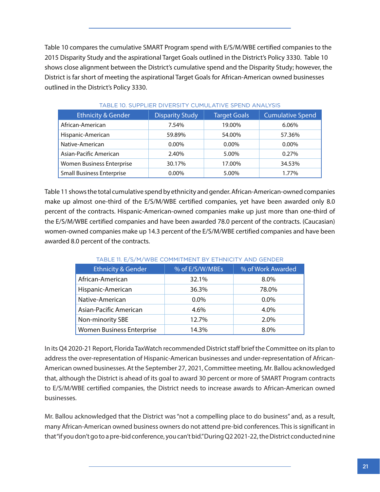Table 10 compares the cumulative SMART Program spend with E/S/M/WBE certified companies to the 2015 Disparity Study and the aspirational Target Goals outlined in the District's Policy 3330. Table 10 shows close alignment between the District's cumulative spend and the Disparity Study; however, the District is far short of meeting the aspirational Target Goals for African-American owned businesses outlined in the District's Policy 3330.

| <b>Ethnicity &amp; Gender</b>    | <b>Disparity Study</b> | <b>Target Goals</b> | <b>Cumulative Spend</b> |
|----------------------------------|------------------------|---------------------|-------------------------|
| African-American                 | 7.54%                  | 19.00%              | 6.06%                   |
| Hispanic-American                | 59.89%                 | 54.00%              | 57.36%                  |
| Native-American                  | $0.00\%$               | $0.00\%$            | 0.00%                   |
| Asian-Pacific American           | 2.40%                  | 5.00%               | 0.27%                   |
| Women Business Enterprise        | 30.17%                 | 17.00%              | 34.53%                  |
| <b>Small Business Enterprise</b> | $0.00\%$               | 5.00%               | 1.77%                   |

#### TABLE 10. SUPPLIER DIVERSITY CUMULATIVE SPEND ANALYSIS

Table 11 shows the total cumulative spend by ethnicity and gender. African-American-owned companies make up almost one-third of the E/S/M/WBE certified companies, yet have been awarded only 8.0 percent of the contracts. Hispanic-American-owned companies make up just more than one-third of the E/S/M/WBE certified companies and have been awarded 78.0 percent of the contracts. (Caucasian) women-owned companies make up 14.3 percent of the E/S/M/WBE certified companies and have been awarded 8.0 percent of the contracts.

| <b>Ethnicity &amp; Gender</b>    | % of E/S/W/MBEs | % of Work Awarded |
|----------------------------------|-----------------|-------------------|
| African-American                 | 32.1%           | 8.0%              |
| Hispanic-American                | 36.3%           | 78.0%             |
| Native-American                  | $0.0\%$         | $0.0\%$           |
| Asian-Pacific American           | 4.6%            | 4.0%              |
| Non-minority SBE                 | 12.7%           | 2.0%              |
| <b>Women Business Enterprise</b> | 14.3%           | 8.0%              |

#### TABLE 11. E/S/M/WBE COMMITMENT BY ETHNICITY AND GENDER

In its Q4 2020-21 Report, Florida TaxWatch recommended District staff brief the Committee on its plan to address the over-representation of Hispanic-American businesses and under-representation of African-American owned businesses. At the September 27, 2021, Committee meeting, Mr. Ballou acknowledged that, although the District is ahead of its goal to award 30 percent or more of SMART Program contracts to E/S/M/WBE certified companies, the District needs to increase awards to African-American owned businesses.

Mr. Ballou acknowledged that the District was "not a compelling place to do business" and, as a result, many African-American owned business owners do not attend pre-bid conferences. This is significant in that "if you don't go to a pre-bid conference, you can't bid." During Q2 2021-22, the District conducted nine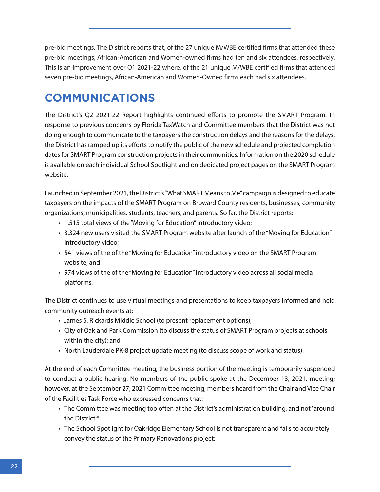pre-bid meetings. The District reports that, of the 27 unique M/WBE certified firms that attended these pre-bid meetings, African-American and Women-owned firms had ten and six attendees, respectively. This is an improvement over Q1 2021-22 where, of the 21 unique M/WBE certified firms that attended seven pre-bid meetings, African-American and Women-Owned firms each had six attendees.

## **COMMUNICATIONS**

The District's Q2 2021-22 Report highlights continued efforts to promote the SMART Program. In response to previous concerns by Florida TaxWatch and Committee members that the District was not doing enough to communicate to the taxpayers the construction delays and the reasons for the delays, the District has ramped up its efforts to notify the public of the new schedule and projected completion dates for SMART Program construction projects in their communities. Information on the 2020 schedule is available on each individual School Spotlight and on dedicated project pages on the SMART Program website.

Launched in September 2021, the District's "What SMART Means to Me" campaign is designed to educate taxpayers on the impacts of the SMART Program on Broward County residents, businesses, community organizations, municipalities, students, teachers, and parents. So far, the District reports:

- 1,515 total views of the "Moving for Education" introductory video;
- 3,324 new users visited the SMART Program website after launch of the "Moving for Education" introductory video;
- 541 views of the of the "Moving for Education" introductory video on the SMART Program website; and
- 974 views of the of the "Moving for Education" introductory video across all social media platforms.

The District continues to use virtual meetings and presentations to keep taxpayers informed and held community outreach events at:

- James S. Rickards Middle School (to present replacement options);
- City of Oakland Park Commission (to discuss the status of SMART Program projects at schools within the city); and
- North Lauderdale PK-8 project update meeting (to discuss scope of work and status).

At the end of each Committee meeting, the business portion of the meeting is temporarily suspended to conduct a public hearing. No members of the public spoke at the December 13, 2021, meeting; however, at the September 27, 2021 Committee meeting, members heard from the Chair and Vice Chair of the Facilities Task Force who expressed concerns that:

- The Committee was meeting too often at the District's administration building, and not "around the District;"
- The School Spotlight for Oakridge Elementary School is not transparent and fails to accurately convey the status of the Primary Renovations project;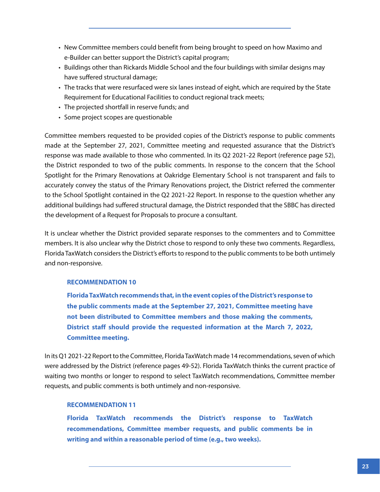- New Committee members could benefit from being brought to speed on how Maximo and e-Builder can better support the District's capital program;
- Buildings other than Rickards Middle School and the four buildings with similar designs may have suffered structural damage;
- The tracks that were resurfaced were six lanes instead of eight, which are required by the State Requirement for Educational Facilities to conduct regional track meets;
- The projected shortfall in reserve funds; and
- Some project scopes are questionable

Committee members requested to be provided copies of the District's response to public comments made at the September 27, 2021, Committee meeting and requested assurance that the District's response was made available to those who commented. In its Q2 2021-22 Report (reference page 52), the District responded to two of the public comments. In response to the concern that the School Spotlight for the Primary Renovations at Oakridge Elementary School is not transparent and fails to accurately convey the status of the Primary Renovations project, the District referred the commenter to the School Spotlight contained in the Q2 2021-22 Report. In response to the question whether any additional buildings had suffered structural damage, the District responded that the SBBC has directed the development of a Request for Proposals to procure a consultant.

It is unclear whether the District provided separate responses to the commenters and to Committee members. It is also unclear why the District chose to respond to only these two comments. Regardless, Florida TaxWatch considers the District's efforts to respond to the public comments to be both untimely and non-responsive.

### **RECOMMENDATION 10**

**Florida TaxWatch recommends that, in the event copies of the District's response to the public comments made at the September 27, 2021, Committee meeting have not been distributed to Committee members and those making the comments, District staff should provide the requested information at the March 7, 2022, Committee meeting.** 

In its Q1 2021-22 Report to the Committee, Florida TaxWatch made 14 recommendations, seven of which were addressed by the District (reference pages 49-52). Florida TaxWatch thinks the current practice of waiting two months or longer to respond to select TaxWatch recommendations, Committee member requests, and public comments is both untimely and non-responsive.

### **RECOMMENDATION 11**

**Florida TaxWatch recommends the District's response to TaxWatch recommendations, Committee member requests, and public comments be in writing and within a reasonable period of time (e.g., two weeks).**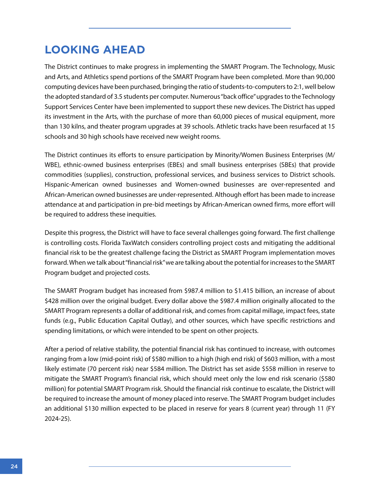## **LOOKING AHEAD**

The District continues to make progress in implementing the SMART Program. The Technology, Music and Arts, and Athletics spend portions of the SMART Program have been completed. More than 90,000 computing devices have been purchased, bringing the ratio of students-to-computers to 2:1, well below the adopted standard of 3.5 students per computer. Numerous "back office" upgrades to the Technology Support Services Center have been implemented to support these new devices. The District has upped its investment in the Arts, with the purchase of more than 60,000 pieces of musical equipment, more than 130 kilns, and theater program upgrades at 39 schools. Athletic tracks have been resurfaced at 15 schools and 30 high schools have received new weight rooms.

The District continues its efforts to ensure participation by Minority/Women Business Enterprises (M/ WBE), ethnic-owned business enterprises (EBEs) and small business enterprises (SBEs) that provide commodities (supplies), construction, professional services, and business services to District schools. Hispanic-American owned businesses and Women-owned businesses are over-represented and African-American owned businesses are under-represented. Although effort has been made to increase attendance at and participation in pre-bid meetings by African-American owned firms, more effort will be required to address these inequities.

Despite this progress, the District will have to face several challenges going forward. The first challenge is controlling costs. Florida TaxWatch considers controlling project costs and mitigating the additional financial risk to be the greatest challenge facing the District as SMART Program implementation moves forward. When we talk about "financial risk" we are talking about the potential for increases to the SMART Program budget and projected costs.

The SMART Program budget has increased from \$987.4 million to \$1.415 billion, an increase of about \$428 million over the original budget. Every dollar above the \$987.4 million originally allocated to the SMART Program represents a dollar of additional risk, and comes from capital millage, impact fees, state funds (e.g., Public Education Capital Outlay), and other sources, which have specific restrictions and spending limitations, or which were intended to be spent on other projects.

After a period of relative stability, the potential financial risk has continued to increase, with outcomes ranging from a low (mid-point risk) of \$580 million to a high (high end risk) of \$603 million, with a most likely estimate (70 percent risk) near \$584 million. The District has set aside \$558 million in reserve to mitigate the SMART Program's financial risk, which should meet only the low end risk scenario (\$580 million) for potential SMART Program risk. Should the financial risk continue to escalate, the District will be required to increase the amount of money placed into reserve. The SMART Program budget includes an additional \$130 million expected to be placed in reserve for years 8 (current year) through 11 (FY 2024-25).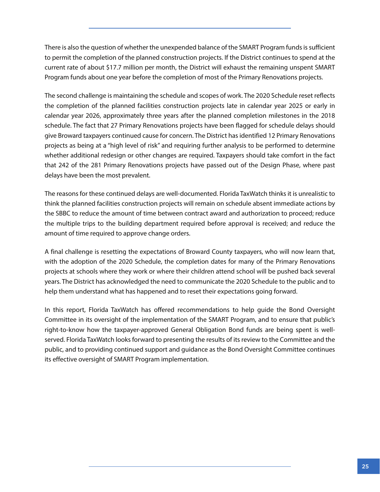There is also the question of whether the unexpended balance of the SMART Program funds is sufficient to permit the completion of the planned construction projects. If the District continues to spend at the current rate of about \$17.7 million per month, the District will exhaust the remaining unspent SMART Program funds about one year before the completion of most of the Primary Renovations projects.

The second challenge is maintaining the schedule and scopes of work. The 2020 Schedule reset reflects the completion of the planned facilities construction projects late in calendar year 2025 or early in calendar year 2026, approximately three years after the planned completion milestones in the 2018 schedule. The fact that 27 Primary Renovations projects have been flagged for schedule delays should give Broward taxpayers continued cause for concern. The District has identified 12 Primary Renovations projects as being at a "high level of risk" and requiring further analysis to be performed to determine whether additional redesign or other changes are required. Taxpayers should take comfort in the fact that 242 of the 281 Primary Renovations projects have passed out of the Design Phase, where past delays have been the most prevalent.

The reasons for these continued delays are well-documented. Florida TaxWatch thinks it is unrealistic to think the planned facilities construction projects will remain on schedule absent immediate actions by the SBBC to reduce the amount of time between contract award and authorization to proceed; reduce the multiple trips to the building department required before approval is received; and reduce the amount of time required to approve change orders.

A final challenge is resetting the expectations of Broward County taxpayers, who will now learn that, with the adoption of the 2020 Schedule, the completion dates for many of the Primary Renovations projects at schools where they work or where their children attend school will be pushed back several years. The District has acknowledged the need to communicate the 2020 Schedule to the public and to help them understand what has happened and to reset their expectations going forward.

In this report, Florida TaxWatch has offered recommendations to help guide the Bond Oversight Committee in its oversight of the implementation of the SMART Program, and to ensure that public's right-to-know how the taxpayer-approved General Obligation Bond funds are being spent is wellserved. Florida TaxWatch looks forward to presenting the results of its review to the Committee and the public, and to providing continued support and guidance as the Bond Oversight Committee continues its effective oversight of SMART Program implementation.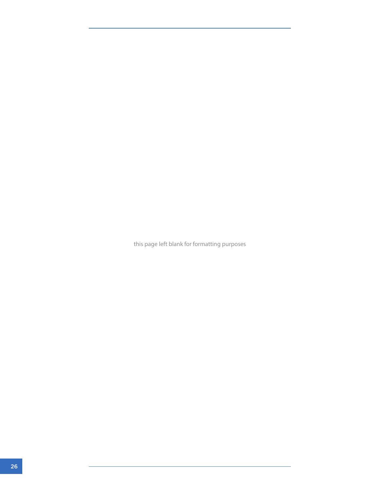this page left blank for formatting purposes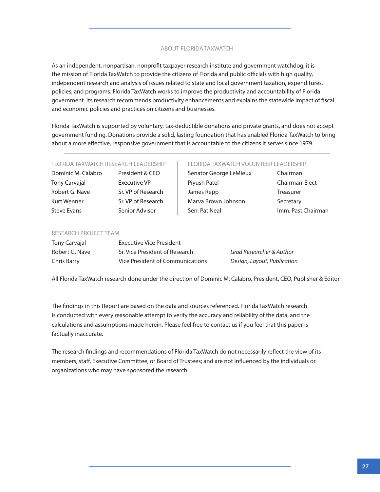#### ABOUT FLORIDA TAXWATCH

As an independent, nonpartisan, nonprofit taxpayer research institute and government watchdog, it is the mission of Florida TaxWatch to provide the citizens of Florida and public officials with high quality, independent research and analysis of issues related to state and local government taxation, expenditures, policies, and programs. Florida TaxWatch works to improve the productivity and accountability of Florida government. Its research recommends productivity enhancements and explains the statewide impact of fiscal and economic policies and practices on citizens and businesses.

Florida TaxWatch is supported by voluntary, tax-deductible donations and private grants, and does not accept government funding. Donations provide a solid, lasting foundation that has enabled Florida TaxWatch to bring about a more effective, responsive government that is accountable to the citizens it serves since 1979.

#### FLORIDA TAXWATCH RESEARCH LEADERSHIP

Dominic M. Calabro President & CEO Tony Carvajal Executive VP Robert G. Nave Sr. VP of Research Kurt Wenner Sr. VP of Research Steve Evans Senior Advisor

#### FLORIDA TAXWATCH VOLUNTEER LEADERSHIP

Senator George LeMieux Chairman Piyush Patel Chairman-Elect James Repp Treasurer Marva Brown Johnson Secretary Sen. Pat Neal **Imm. Past Chairman** 

#### RESEARCH PROJECT TEAM

| Tony Carvajal  | Executive Vice President         |                             |
|----------------|----------------------------------|-----------------------------|
| Robert G. Nave | Sr. Vice President of Research   | Lead Researcher & Author    |
| Chris Barry    | Vice President of Communications | Design, Layout, Publication |

All Florida TaxWatch research done under the direction of Dominic M. Calabro, President, CEO, Publisher & Editor.

The findings in this Report are based on the data and sources referenced. Florida TaxWatch research is conducted with every reasonable attempt to verify the accuracy and reliability of the data, and the calculations and assumptions made herein. Please feel free to contact us if you feel that this paper is factually inaccurate.

The research findings and recommendations of Florida TaxWatch do not necessarily reflect the view of its members, staff, Executive Committee, or Board of Trustees; and are not influenced by the individuals or organizations who may have sponsored the research.